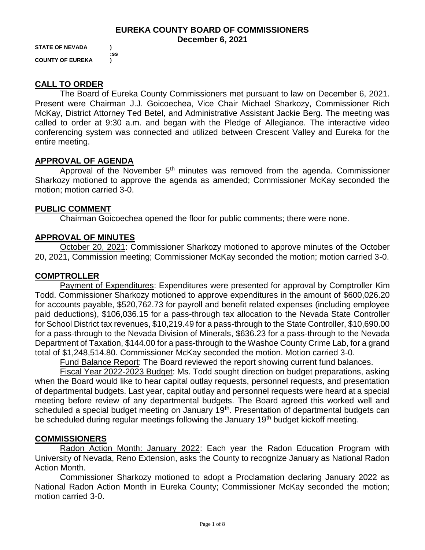#### **EUREKA COUNTY BOARD OF COMMISSIONERS December 6, 2021**

**STATE OF NEVADA ) :ss COUNTY OF EUREKA )**

# **CALL TO ORDER**

The Board of Eureka County Commissioners met pursuant to law on December 6, 2021. Present were Chairman J.J. Goicoechea, Vice Chair Michael Sharkozy, Commissioner Rich McKay, District Attorney Ted Betel, and Administrative Assistant Jackie Berg. The meeting was called to order at 9:30 a.m. and began with the Pledge of Allegiance. The interactive video conferencing system was connected and utilized between Crescent Valley and Eureka for the entire meeting.

## **APPROVAL OF AGENDA**

Approval of the November  $5<sup>th</sup>$  minutes was removed from the agenda. Commissioner Sharkozy motioned to approve the agenda as amended; Commissioner McKay seconded the motion; motion carried 3-0.

# **PUBLIC COMMENT**

Chairman Goicoechea opened the floor for public comments; there were none.

# **APPROVAL OF MINUTES**

October 20, 2021: Commissioner Sharkozy motioned to approve minutes of the October 20, 2021, Commission meeting; Commissioner McKay seconded the motion; motion carried 3-0.

# **COMPTROLLER**

Payment of Expenditures: Expenditures were presented for approval by Comptroller Kim Todd. Commissioner Sharkozy motioned to approve expenditures in the amount of \$600,026.20 for accounts payable, \$520,762.73 for payroll and benefit related expenses (including employee paid deductions), \$106,036.15 for a pass-through tax allocation to the Nevada State Controller for School District tax revenues, \$10,219.49 for a pass-through to the State Controller, \$10,690.00 for a pass-through to the Nevada Division of Minerals, \$636.23 for a pass-through to the Nevada Department of Taxation, \$144.00 for a pass-through to the Washoe County Crime Lab, for a grand total of \$1,248,514.80. Commissioner McKay seconded the motion. Motion carried 3-0.

Fund Balance Report: The Board reviewed the report showing current fund balances.

Fiscal Year 2022-2023 Budget: Ms. Todd sought direction on budget preparations, asking when the Board would like to hear capital outlay requests, personnel requests, and presentation of departmental budgets. Last year, capital outlay and personnel requests were heard at a special meeting before review of any departmental budgets. The Board agreed this worked well and scheduled a special budget meeting on January 19<sup>th</sup>. Presentation of departmental budgets can be scheduled during regular meetings following the January 19<sup>th</sup> budget kickoff meeting.

# **COMMISSIONERS**

Radon Action Month: January 2022: Each year the Radon Education Program with University of Nevada, Reno Extension, asks the County to recognize January as National Radon Action Month.

Commissioner Sharkozy motioned to adopt a Proclamation declaring January 2022 as National Radon Action Month in Eureka County; Commissioner McKay seconded the motion; motion carried 3-0.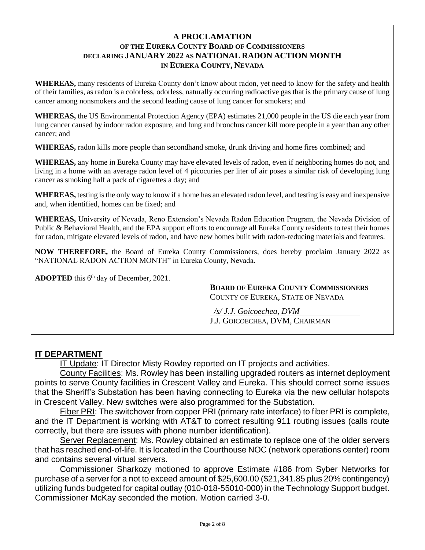## **A PROCLAMATION OF THE EUREKA COUNTY BOARD OF COMMISSIONERS DECLARING JANUARY 2022 AS NATIONAL RADON ACTION MONTH IN EUREKA COUNTY, NEVADA**

**WHEREAS,** many residents of Eureka County don't know about radon, yet need to know for the safety and health of their families, as radon is a colorless, odorless, naturally occurring radioactive gas that is the primary cause of lung cancer among nonsmokers and the second leading cause of lung cancer for smokers; and

**WHEREAS,** the US Environmental Protection Agency (EPA) estimates 21,000 people in the US die each year from lung cancer caused by indoor radon exposure, and lung and bronchus cancer kill more people in a year than any other cancer; and

**WHEREAS,** radon kills more people than secondhand smoke, drunk driving and home fires combined; and

**WHEREAS,** any home in Eureka County may have elevated levels of radon, even if neighboring homes do not, and living in a home with an average radon level of 4 picocuries per liter of air poses a similar risk of developing lung cancer as smoking half a pack of cigarettes a day; and

**WHEREAS,** testing is the only way to know if a home has an elevated radon level, and testing is easy and inexpensive and, when identified, homes can be fixed; and

**WHEREAS,** University of Nevada, Reno Extension's Nevada Radon Education Program, the Nevada Division of Public & Behavioral Health, and the EPA support efforts to encourage all Eureka County residents to test their homes for radon, mitigate elevated levels of radon, and have new homes built with radon-reducing materials and features.

**NOW THEREFORE,** the Board of Eureka County Commissioners, does hereby proclaim January 2022 as "NATIONAL RADON ACTION MONTH" in Eureka County, Nevada.

**ADOPTED** this 6<sup>th</sup> day of December, 2021.

**BOARD OF EUREKA COUNTY COMMISSIONERS** COUNTY OF EUREKA, STATE OF NEVADA

 */s/ J.J. Goicoechea, DVM* J.J. GOICOECHEA, DVM, CHAIRMAN

# **IT DEPARTMENT**

IT Update: IT Director Misty Rowley reported on IT projects and activities.

County Facilities: Ms. Rowley has been installing upgraded routers as internet deployment points to serve County facilities in Crescent Valley and Eureka. This should correct some issues that the Sheriff's Substation has been having connecting to Eureka via the new cellular hotspots in Crescent Valley. New switches were also programmed for the Substation.

Fiber PRI: The switchover from copper PRI (primary rate interface) to fiber PRI is complete, and the IT Department is working with AT&T to correct resulting 911 routing issues (calls route correctly, but there are issues with phone number identification).

Server Replacement: Ms. Rowley obtained an estimate to replace one of the older servers that has reached end-of-life. It is located in the Courthouse NOC (network operations center) room and contains several virtual servers.

Commissioner Sharkozy motioned to approve Estimate #186 from Syber Networks for purchase of a server for a not to exceed amount of \$25,600.00 (\$21,341.85 plus 20% contingency) utilizing funds budgeted for capital outlay (010-018-55010-000) in the Technology Support budget. Commissioner McKay seconded the motion. Motion carried 3-0.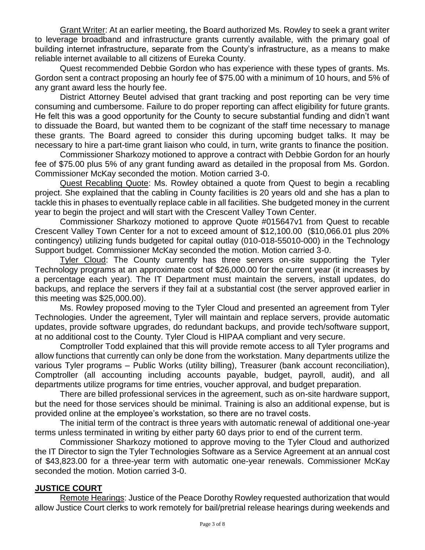Grant Writer: At an earlier meeting, the Board authorized Ms. Rowley to seek a grant writer to leverage broadband and infrastructure grants currently available, with the primary goal of building internet infrastructure, separate from the County's infrastructure, as a means to make reliable internet available to all citizens of Eureka County.

Quest recommended Debbie Gordon who has experience with these types of grants. Ms. Gordon sent a contract proposing an hourly fee of \$75.00 with a minimum of 10 hours, and 5% of any grant award less the hourly fee.

District Attorney Beutel advised that grant tracking and post reporting can be very time consuming and cumbersome. Failure to do proper reporting can affect eligibility for future grants. He felt this was a good opportunity for the County to secure substantial funding and didn't want to dissuade the Board, but wanted them to be cognizant of the staff time necessary to manage these grants. The Board agreed to consider this during upcoming budget talks. It may be necessary to hire a part-time grant liaison who could, in turn, write grants to finance the position.

Commissioner Sharkozy motioned to approve a contract with Debbie Gordon for an hourly fee of \$75.00 plus 5% of any grant funding award as detailed in the proposal from Ms. Gordon. Commissioner McKay seconded the motion. Motion carried 3-0.

Quest Recabling Quote: Ms. Rowley obtained a quote from Quest to begin a recabling project. She explained that the cabling in County facilities is 20 years old and she has a plan to tackle this in phases to eventually replace cable in all facilities. She budgeted money in the current year to begin the project and will start with the Crescent Valley Town Center.

Commissioner Sharkozy motioned to approve Quote #015647v1 from Quest to recable Crescent Valley Town Center for a not to exceed amount of \$12,100.00 (\$10,066.01 plus 20% contingency) utilizing funds budgeted for capital outlay (010-018-55010-000) in the Technology Support budget. Commissioner McKay seconded the motion. Motion carried 3-0.

Tyler Cloud: The County currently has three servers on-site supporting the Tyler Technology programs at an approximate cost of \$26,000.00 for the current year (it increases by a percentage each year). The IT Department must maintain the servers, install updates, do backups, and replace the servers if they fail at a substantial cost (the server approved earlier in this meeting was \$25,000.00).

Ms. Rowley proposed moving to the Tyler Cloud and presented an agreement from Tyler Technologies. Under the agreement, Tyler will maintain and replace servers, provide automatic updates, provide software upgrades, do redundant backups, and provide tech/software support, at no additional cost to the County. Tyler Cloud is HIPAA compliant and very secure.

Comptroller Todd explained that this will provide remote access to all Tyler programs and allow functions that currently can only be done from the workstation. Many departments utilize the various Tyler programs – Public Works (utility billing), Treasurer (bank account reconciliation), Comptroller (all accounting including accounts payable, budget, payroll, audit), and all departments utilize programs for time entries, voucher approval, and budget preparation.

There are billed professional services in the agreement, such as on-site hardware support, but the need for those services should be minimal. Training is also an additional expense, but is provided online at the employee's workstation, so there are no travel costs.

The initial term of the contract is three years with automatic renewal of additional one-year terms unless terminated in writing by either party 60 days prior to end of the current term.

Commissioner Sharkozy motioned to approve moving to the Tyler Cloud and authorized the IT Director to sign the Tyler Technologies Software as a Service Agreement at an annual cost of \$43,823.00 for a three-year term with automatic one-year renewals. Commissioner McKay seconded the motion. Motion carried 3-0.

# **JUSTICE COURT**

Remote Hearings: Justice of the Peace Dorothy Rowley requested authorization that would allow Justice Court clerks to work remotely for bail/pretrial release hearings during weekends and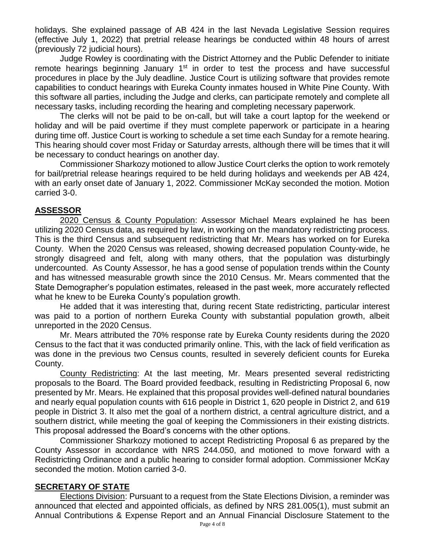holidays. She explained passage of AB 424 in the last Nevada Legislative Session requires (effective July 1, 2022) that pretrial release hearings be conducted within 48 hours of arrest (previously 72 judicial hours).

Judge Rowley is coordinating with the District Attorney and the Public Defender to initiate remote hearings beginning January  $1<sup>st</sup>$  in order to test the process and have successful procedures in place by the July deadline. Justice Court is utilizing software that provides remote capabilities to conduct hearings with Eureka County inmates housed in White Pine County. With this software all parties, including the Judge and clerks, can participate remotely and complete all necessary tasks, including recording the hearing and completing necessary paperwork.

The clerks will not be paid to be on-call, but will take a court laptop for the weekend or holiday and will be paid overtime if they must complete paperwork or participate in a hearing during time off. Justice Court is working to schedule a set time each Sunday for a remote hearing. This hearing should cover most Friday or Saturday arrests, although there will be times that it will be necessary to conduct hearings on another day.

Commissioner Sharkozy motioned to allow Justice Court clerks the option to work remotely for bail/pretrial release hearings required to be held during holidays and weekends per AB 424, with an early onset date of January 1, 2022. Commissioner McKay seconded the motion. Motion carried 3-0.

# **ASSESSOR**

2020 Census & County Population: Assessor Michael Mears explained he has been utilizing 2020 Census data, as required by law, in working on the mandatory redistricting process. This is the third Census and subsequent redistricting that Mr. Mears has worked on for Eureka County. When the 2020 Census was released, showing decreased population County-wide, he strongly disagreed and felt, along with many others, that the population was disturbingly undercounted. As County Assessor, he has a good sense of population trends within the County and has witnessed measurable growth since the 2010 Census. Mr. Mears commented that the State Demographer's population estimates, released in the past week, more accurately reflected what he knew to be Eureka County's population growth.

He added that it was interesting that, during recent State redistricting, particular interest was paid to a portion of northern Eureka County with substantial population growth, albeit unreported in the 2020 Census.

Mr. Mears attributed the 70% response rate by Eureka County residents during the 2020 Census to the fact that it was conducted primarily online. This, with the lack of field verification as was done in the previous two Census counts, resulted in severely deficient counts for Eureka County.

County Redistricting: At the last meeting, Mr. Mears presented several redistricting proposals to the Board. The Board provided feedback, resulting in Redistricting Proposal 6, now presented by Mr. Mears. He explained that this proposal provides well-defined natural boundaries and nearly equal population counts with 616 people in District 1, 620 people in District 2, and 619 people in District 3. It also met the goal of a northern district, a central agriculture district, and a southern district, while meeting the goal of keeping the Commissioners in their existing districts. This proposal addressed the Board's concerns with the other options.

Commissioner Sharkozy motioned to accept Redistricting Proposal 6 as prepared by the County Assessor in accordance with NRS 244.050, and motioned to move forward with a Redistricting Ordinance and a public hearing to consider formal adoption. Commissioner McKay seconded the motion. Motion carried 3-0.

# **SECRETARY OF STATE**

Elections Division: Pursuant to a request from the State Elections Division, a reminder was announced that elected and appointed officials, as defined by NRS 281.005(1), must submit an Annual Contributions & Expense Report and an Annual Financial Disclosure Statement to the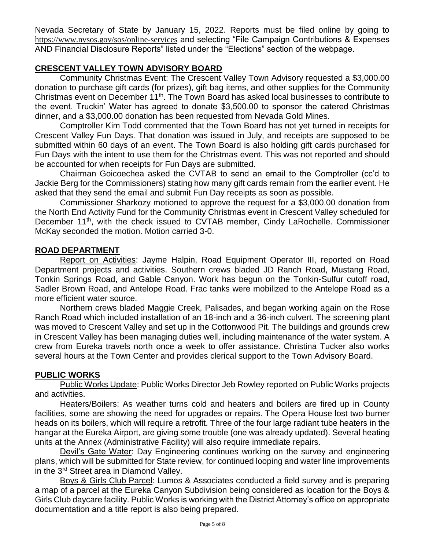Nevada Secretary of State by January 15, 2022. Reports must be filed online by going to <https://www.nvsos.gov/sos/online-services> and selecting "File Campaign Contributions & Expenses AND Financial Disclosure Reports" listed under the "Elections" section of the webpage.

# **CRESCENT VALLEY TOWN ADVISORY BOARD**

Community Christmas Event: The Crescent Valley Town Advisory requested a \$3,000.00 donation to purchase gift cards (for prizes), gift bag items, and other supplies for the Community Christmas event on December 11<sup>th</sup>. The Town Board has asked local businesses to contribute to the event. Truckin' Water has agreed to donate \$3,500.00 to sponsor the catered Christmas dinner, and a \$3,000.00 donation has been requested from Nevada Gold Mines.

Comptroller Kim Todd commented that the Town Board has not yet turned in receipts for Crescent Valley Fun Days. That donation was issued in July, and receipts are supposed to be submitted within 60 days of an event. The Town Board is also holding gift cards purchased for Fun Days with the intent to use them for the Christmas event. This was not reported and should be accounted for when receipts for Fun Days are submitted.

Chairman Goicoechea asked the CVTAB to send an email to the Comptroller (cc'd to Jackie Berg for the Commissioners) stating how many gift cards remain from the earlier event. He asked that they send the email and submit Fun Day receipts as soon as possible.

Commissioner Sharkozy motioned to approve the request for a \$3,000.00 donation from the North End Activity Fund for the Community Christmas event in Crescent Valley scheduled for December 11<sup>th</sup>, with the check issued to CVTAB member, Cindy LaRochelle. Commissioner McKay seconded the motion. Motion carried 3-0.

## **ROAD DEPARTMENT**

Report on Activities: Jayme Halpin, Road Equipment Operator III, reported on Road Department projects and activities. Southern crews bladed JD Ranch Road, Mustang Road, Tonkin Springs Road, and Gable Canyon. Work has begun on the Tonkin-Sulfur cutoff road, Sadler Brown Road, and Antelope Road. Frac tanks were mobilized to the Antelope Road as a more efficient water source.

Northern crews bladed Maggie Creek, Palisades, and began working again on the Rose Ranch Road which included installation of an 18-inch and a 36-inch culvert. The screening plant was moved to Crescent Valley and set up in the Cottonwood Pit. The buildings and grounds crew in Crescent Valley has been managing duties well, including maintenance of the water system. A crew from Eureka travels north once a week to offer assistance. Christina Tucker also works several hours at the Town Center and provides clerical support to the Town Advisory Board.

# **PUBLIC WORKS**

Public Works Update: Public Works Director Jeb Rowley reported on Public Works projects and activities.

Heaters/Boilers: As weather turns cold and heaters and boilers are fired up in County facilities, some are showing the need for upgrades or repairs. The Opera House lost two burner heads on its boilers, which will require a retrofit. Three of the four large radiant tube heaters in the hangar at the Eureka Airport, are giving some trouble (one was already updated). Several heating units at the Annex (Administrative Facility) will also require immediate repairs.

Devil's Gate Water: Day Engineering continues working on the survey and engineering plans, which will be submitted for State review, for continued looping and water line improvements in the 3rd Street area in Diamond Valley.

Boys & Girls Club Parcel: Lumos & Associates conducted a field survey and is preparing a map of a parcel at the Eureka Canyon Subdivision being considered as location for the Boys & Girls Club daycare facility. Public Works is working with the District Attorney's office on appropriate documentation and a title report is also being prepared.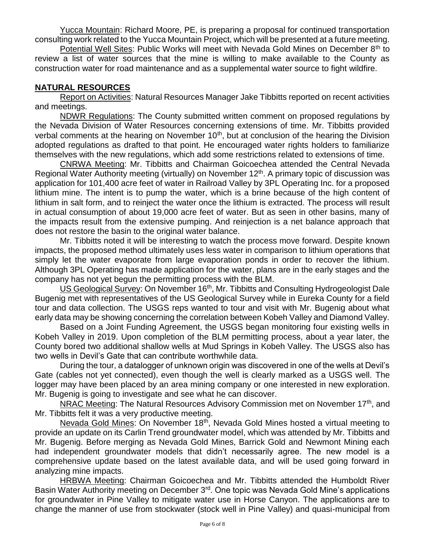Yucca Mountain: Richard Moore, PE, is preparing a proposal for continued transportation consulting work related to the Yucca Mountain Project, which will be presented at a future meeting.

Potential Well Sites: Public Works will meet with Nevada Gold Mines on December 8<sup>th</sup> to review a list of water sources that the mine is willing to make available to the County as construction water for road maintenance and as a supplemental water source to fight wildfire.

# **NATURAL RESOURCES**

Report on Activities: Natural Resources Manager Jake Tibbitts reported on recent activities and meetings.

NDWR Regulations: The County submitted written comment on proposed regulations by the Nevada Division of Water Resources concerning extensions of time. Mr. Tibbitts provided verbal comments at the hearing on November  $10<sup>th</sup>$ , but at conclusion of the hearing the Division adopted regulations as drafted to that point. He encouraged water rights holders to familiarize themselves with the new regulations, which add some restrictions related to extensions of time.

CNRWA Meeting: Mr. Tibbitts and Chairman Goicoechea attended the Central Nevada Regional Water Authority meeting (virtually) on November 12<sup>th</sup>. A primary topic of discussion was application for 101,400 acre feet of water in Railroad Valley by 3PL Operating Inc. for a proposed lithium mine. The intent is to pump the water, which is a brine because of the high content of lithium in salt form, and to reinject the water once the lithium is extracted. The process will result in actual consumption of about 19,000 acre feet of water. But as seen in other basins, many of the impacts result from the extensive pumping. And reinjection is a net balance approach that does not restore the basin to the original water balance.

Mr. Tibbitts noted it will be interesting to watch the process move forward. Despite known impacts, the proposed method ultimately uses less water in comparison to lithium operations that simply let the water evaporate from large evaporation ponds in order to recover the lithium. Although 3PL Operating has made application for the water, plans are in the early stages and the company has not yet begun the permitting process with the BLM.

US Geological Survey: On November 16<sup>th</sup>, Mr. Tibbitts and Consulting Hydrogeologist Dale Bugenig met with representatives of the US Geological Survey while in Eureka County for a field tour and data collection. The USGS reps wanted to tour and visit with Mr. Bugenig about what early data may be showing concerning the correlation between Kobeh Valley and Diamond Valley.

Based on a Joint Funding Agreement, the USGS began monitoring four existing wells in Kobeh Valley in 2019. Upon completion of the BLM permitting process, about a year later, the County bored two additional shallow wells at Mud Springs in Kobeh Valley. The USGS also has two wells in Devil's Gate that can contribute worthwhile data.

During the tour, a datalogger of unknown origin was discovered in one of the wells at Devil's Gate (cables not yet connected), even though the well is clearly marked as a USGS well. The logger may have been placed by an area mining company or one interested in new exploration. Mr. Bugenig is going to investigate and see what he can discover.

NRAC Meeting: The Natural Resources Advisory Commission met on November 17<sup>th</sup>, and Mr. Tibbitts felt it was a very productive meeting.

Nevada Gold Mines: On November 18<sup>th</sup>, Nevada Gold Mines hosted a virtual meeting to provide an update on its Carlin Trend groundwater model, which was attended by Mr. Tibbitts and Mr. Bugenig. Before merging as Nevada Gold Mines, Barrick Gold and Newmont Mining each had independent groundwater models that didn't necessarily agree. The new model is a comprehensive update based on the latest available data, and will be used going forward in analyzing mine impacts.

HRBWA Meeting: Chairman Goicoechea and Mr. Tibbitts attended the Humboldt River Basin Water Authority meeting on December 3<sup>rd</sup>. One topic was Nevada Gold Mine's applications for groundwater in Pine Valley to mitigate water use in Horse Canyon. The applications are to change the manner of use from stockwater (stock well in Pine Valley) and quasi-municipal from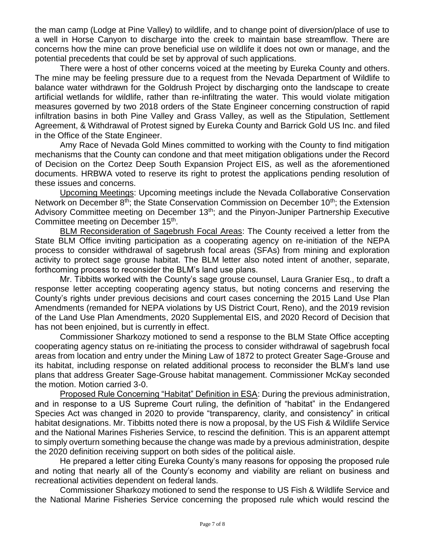the man camp (Lodge at Pine Valley) to wildlife, and to change point of diversion/place of use to a well in Horse Canyon to discharge into the creek to maintain base streamflow. There are concerns how the mine can prove beneficial use on wildlife it does not own or manage, and the potential precedents that could be set by approval of such applications.

There were a host of other concerns voiced at the meeting by Eureka County and others. The mine may be feeling pressure due to a request from the Nevada Department of Wildlife to balance water withdrawn for the Goldrush Project by discharging onto the landscape to create artificial wetlands for wildlife, rather than re-infiltrating the water. This would violate mitigation measures governed by two 2018 orders of the State Engineer concerning construction of rapid infiltration basins in both Pine Valley and Grass Valley, as well as the Stipulation, Settlement Agreement, & Withdrawal of Protest signed by Eureka County and Barrick Gold US Inc. and filed in the Office of the State Engineer.

Amy Race of Nevada Gold Mines committed to working with the County to find mitigation mechanisms that the County can condone and that meet mitigation obligations under the Record of Decision on the Cortez Deep South Expansion Project EIS, as well as the aforementioned documents. HRBWA voted to reserve its right to protest the applications pending resolution of these issues and concerns.

Upcoming Meetings: Upcoming meetings include the Nevada Collaborative Conservation Network on December  $8<sup>th</sup>$ ; the State Conservation Commission on December 10<sup>th</sup>; the Extension Advisory Committee meeting on December 13<sup>th</sup>; and the Pinyon-Juniper Partnership Executive Committee meeting on December 15<sup>th</sup>.

BLM Reconsideration of Sagebrush Focal Areas: The County received a letter from the State BLM Office inviting participation as a cooperating agency on re-initiation of the NEPA process to consider withdrawal of sagebrush focal areas (SFAs) from mining and exploration activity to protect sage grouse habitat. The BLM letter also noted intent of another, separate, forthcoming process to reconsider the BLM's land use plans.

Mr. Tibbitts worked with the County's sage grouse counsel, Laura Granier Esq., to draft a response letter accepting cooperating agency status, but noting concerns and reserving the County's rights under previous decisions and court cases concerning the 2015 Land Use Plan Amendments (remanded for NEPA violations by US District Court, Reno), and the 2019 revision of the Land Use Plan Amendments, 2020 Supplemental EIS, and 2020 Record of Decision that has not been enjoined, but is currently in effect.

Commissioner Sharkozy motioned to send a response to the BLM State Office accepting cooperating agency status on re-initiating the process to consider withdrawal of sagebrush focal areas from location and entry under the Mining Law of 1872 to protect Greater Sage-Grouse and its habitat, including response on related additional process to reconsider the BLM's land use plans that address Greater Sage-Grouse habitat management. Commissioner McKay seconded the motion. Motion carried 3-0.

Proposed Rule Concerning "Habitat" Definition in ESA: During the previous administration, and in response to a US Supreme Court ruling, the definition of "habitat" in the Endangered Species Act was changed in 2020 to provide "transparency, clarity, and consistency" in critical habitat designations. Mr. Tibbitts noted there is now a proposal, by the US Fish & Wildlife Service and the National Marines Fisheries Service, to rescind the definition. This is an apparent attempt to simply overturn something because the change was made by a previous administration, despite the 2020 definition receiving support on both sides of the political aisle.

He prepared a letter citing Eureka County's many reasons for opposing the proposed rule and noting that nearly all of the County's economy and viability are reliant on business and recreational activities dependent on federal lands.

Commissioner Sharkozy motioned to send the response to US Fish & Wildlife Service and the National Marine Fisheries Service concerning the proposed rule which would rescind the